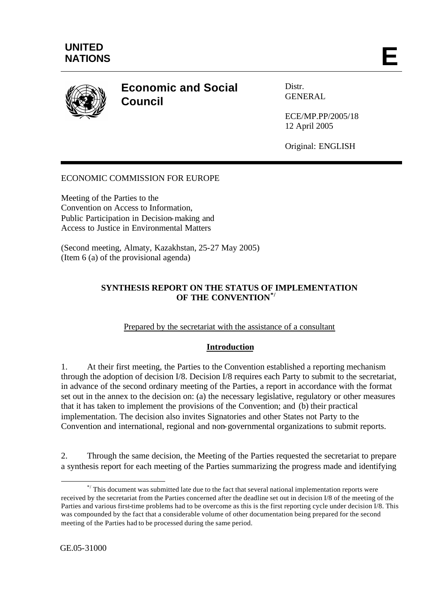

# **Economic and Social Council**

Distr. GENERAL

ECE/MP.PP/2005/18 12 April 2005

Original: ENGLISH

## ECONOMIC COMMISSION FOR EUROPE

Meeting of the Parties to the Convention on Access to Information, Public Participation in Decision-making and Access to Justice in Environmental Matters

(Second meeting, Almaty, Kazakhstan, 25-27 May 2005) (Item 6 (a) of the provisional agenda)

#### **SYNTHESIS REPORT ON THE STATUS OF IMPLEMENTATION OF THE CONVENTION\*/**

#### Prepared by the secretariat with the assistance of a consultant

#### **Introduction**

1. At their first meeting, the Parties to the Convention established a reporting mechanism through the adoption of decision I/8. Decision I/8 requires each Party to submit to the secretariat, in advance of the second ordinary meeting of the Parties, a report in accordance with the format set out in the annex to the decision on: (a) the necessary legislative, regulatory or other measures that it has taken to implement the provisions of the Convention; and (b) their practical implementation. The decision also invites Signatories and other States not Party to the Convention and international, regional and non-governmental organizations to submit reports.

2. Through the same decision, the Meeting of the Parties requested the secretariat to prepare a synthesis report for each meeting of the Parties summarizing the progress made and identifying

l

<sup>\*/</sup> This document was submitted late due to the fact that several national implementation reports were received by the secretariat from the Parties concerned after the deadline set out in decision I/8 of the meeting of the Parties and various first-time problems had to be overcome as this is the first reporting cycle under decision I/8. This was compounded by the fact that a considerable volume of other documentation being prepared for the second meeting of the Parties had to be processed during the same period.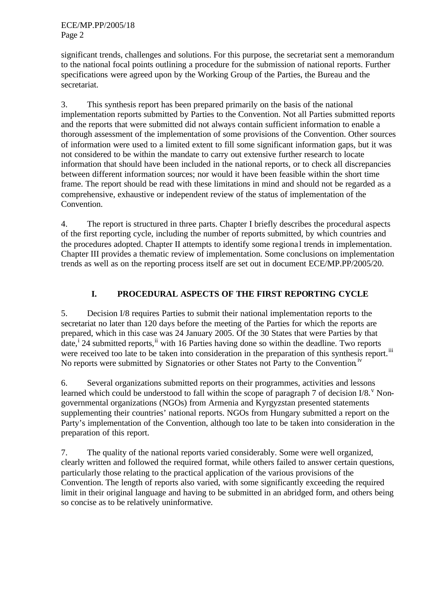significant trends, challenges and solutions. For this purpose, the secretariat sent a memorandum to the national focal points outlining a procedure for the submission of national reports. Further specifications were agreed upon by the Working Group of the Parties, the Bureau and the secretariat.

3. This synthesis report has been prepared primarily on the basis of the national implementation reports submitted by Parties to the Convention. Not all Parties submitted reports and the reports that were submitted did not always contain sufficient information to enable a thorough assessment of the implementation of some provisions of the Convention. Other sources of information were used to a limited extent to fill some significant information gaps, but it was not considered to be within the mandate to carry out extensive further research to locate information that should have been included in the national reports, or to check all discrepancies between different information sources; nor would it have been feasible within the short time frame. The report should be read with these limitations in mind and should not be regarded as a comprehensive, exhaustive or independent review of the status of implementation of the Convention.

4. The report is structured in three parts. Chapter I briefly describes the procedural aspects of the first reporting cycle, including the number of reports submitted, by which countries and the procedures adopted. Chapter II attempts to identify some regiona l trends in implementation. Chapter III provides a thematic review of implementation. Some conclusions on implementation trends as well as on the reporting process itself are set out in document ECE/MP.PP/2005/20.

# **I. PROCEDURAL ASPECTS OF THE FIRST REPORTING CYCLE**

5. Decision I/8 requires Parties to submit their national implementation reports to the secretariat no later than 120 days before the meeting of the Parties for which the reports are prepared, which in this case was 24 January 2005. Of the 30 States that were Parties by that date,<sup>i</sup> 24 submitted reports,<sup>ii</sup> with 16 Parties having done so within the deadline. Two reports were received too late to be taken into consideration in the preparation of this synthesis report.<sup>iii</sup> No reports were submitted by Signatories or other States not Party to the Convention.<sup>iv</sup>

6. Several organizations submitted reports on their programmes, activities and lessons learned which could be understood to fall within the scope of paragraph 7 of decision  $I/8$ . Nongovernmental organizations (NGOs) from Armenia and Kyrgyzstan presented statements supplementing their countries' national reports. NGOs from Hungary submitted a report on the Party's implementation of the Convention, although too late to be taken into consideration in the preparation of this report.

7. The quality of the national reports varied considerably. Some were well organized, clearly written and followed the required format, while others failed to answer certain questions, particularly those relating to the practical application of the various provisions of the Convention. The length of reports also varied, with some significantly exceeding the required limit in their original language and having to be submitted in an abridged form, and others being so concise as to be relatively uninformative.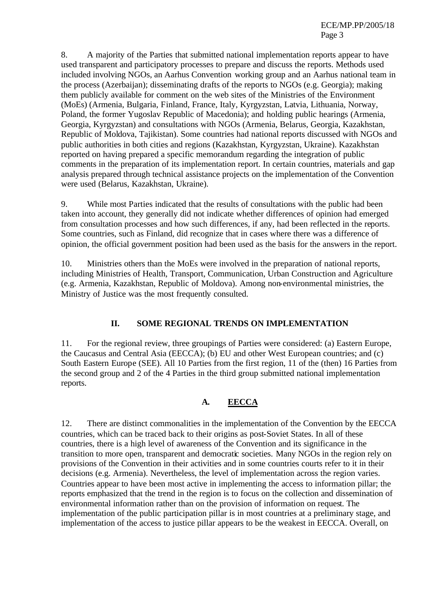8. A majority of the Parties that submitted national implementation reports appear to have used transparent and participatory processes to prepare and discuss the reports. Methods used included involving NGOs, an Aarhus Convention working group and an Aarhus national team in the process (Azerbaijan); disseminating drafts of the reports to NGOs (e.g. Georgia); making them publicly available for comment on the web sites of the Ministries of the Environment (MoEs) (Armenia, Bulgaria, Finland, France, Italy, Kyrgyzstan, Latvia, Lithuania, Norway, Poland, the former Yugoslav Republic of Macedonia); and holding public hearings (Armenia, Georgia, Kyrgyzstan) and consultations with NGOs (Armenia, Belarus, Georgia, Kazakhstan, Republic of Moldova, Tajikistan). Some countries had national reports discussed with NGOs and public authorities in both cities and regions (Kazakhstan, Kyrgyzstan, Ukraine). Kazakhstan reported on having prepared a specific memorandum regarding the integration of public comments in the preparation of its implementation report. In certain countries, materials and gap analysis prepared through technical assistance projects on the implementation of the Convention were used (Belarus, Kazakhstan, Ukraine).

9. While most Parties indicated that the results of consultations with the public had been taken into account, they generally did not indicate whether differences of opinion had emerged from consultation processes and how such differences, if any, had been reflected in the reports. Some countries, such as Finland, did recognize that in cases where there was a difference of opinion, the official government position had been used as the basis for the answers in the report.

10. Ministries others than the MoEs were involved in the preparation of national reports, including Ministries of Health, Transport, Communication, Urban Construction and Agriculture (e.g. Armenia, Kazakhstan, Republic of Moldova). Among non-environmental ministries, the Ministry of Justice was the most frequently consulted.

# **II. SOME REGIONAL TRENDS ON IMPLEMENTATION**

11. For the regional review, three groupings of Parties were considered: (a) Eastern Europe, the Caucasus and Central Asia (EECCA); (b) EU and other West European countries; and (c) South Eastern Europe (SEE). All 10 Parties from the first region, 11 of the (then) 16 Parties from the second group and 2 of the 4 Parties in the third group submitted national implementation reports.

# **A. EECCA**

12. There are distinct commonalities in the implementation of the Convention by the EECCA countries, which can be traced back to their origins as post-Soviet States. In all of these countries, there is a high level of awareness of the Convention and its significance in the transition to more open, transparent and democratic societies. Many NGOs in the region rely on provisions of the Convention in their activities and in some countries courts refer to it in their decisions (e.g. Armenia). Nevertheless, the level of implementation across the region varies. Countries appear to have been most active in implementing the access to information pillar; the reports emphasized that the trend in the region is to focus on the collection and dissemination of environmental information rather than on the provision of information on request. The implementation of the public participation pillar is in most countries at a preliminary stage, and implementation of the access to justice pillar appears to be the weakest in EECCA. Overall, on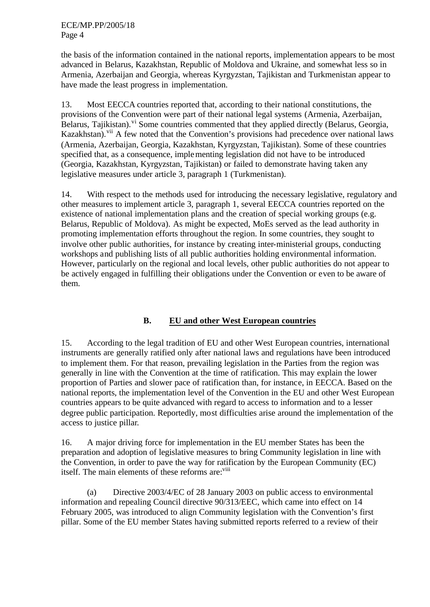ECE/MP.PP/2005/18 Page 4

the basis of the information contained in the national reports, implementation appears to be most advanced in Belarus, Kazakhstan, Republic of Moldova and Ukraine, and somewhat less so in Armenia, Azerbaijan and Georgia, whereas Kyrgyzstan, Tajikistan and Turkmenistan appear to have made the least progress in implementation.

13. Most EECCA countries reported that, according to their national constitutions, the provisions of the Convention were part of their national legal systems (Armenia, Azerbaijan, Belarus, Tajikistan).<sup>vi</sup> Some countries commented that they applied directly (Belarus, Georgia, Kazakhstan).<sup>vii</sup> A few noted that the Convention's provisions had precedence over national laws (Armenia, Azerbaijan, Georgia, Kazakhstan, Kyrgyzstan, Tajikistan). Some of these countries specified that, as a consequence, implementing legislation did not have to be introduced (Georgia, Kazakhstan, Kyrgyzstan, Tajikistan) or failed to demonstrate having taken any legislative measures under article 3, paragraph 1 (Turkmenistan).

14. With respect to the methods used for introducing the necessary legislative, regulatory and other measures to implement article 3, paragraph 1, several EECCA countries reported on the existence of national implementation plans and the creation of special working groups (e.g. Belarus, Republic of Moldova). As might be expected, MoEs served as the lead authority in promoting implementation efforts throughout the region. In some countries, they sought to involve other public authorities, for instance by creating inter-ministerial groups, conducting workshops and publishing lists of all public authorities holding environmental information. However, particularly on the regional and local levels, other public authorities do not appear to be actively engaged in fulfilling their obligations under the Convention or even to be aware of them.

# **B. EU and other West European countries**

15. According to the legal tradition of EU and other West European countries, international instruments are generally ratified only after national laws and regulations have been introduced to implement them. For that reason, prevailing legislation in the Parties from the region was generally in line with the Convention at the time of ratification. This may explain the lower proportion of Parties and slower pace of ratification than, for instance, in EECCA. Based on the national reports, the implementation level of the Convention in the EU and other West European countries appears to be quite advanced with regard to access to information and to a lesser degree public participation. Reportedly, most difficulties arise around the implementation of the access to justice pillar.

16. A major driving force for implementation in the EU member States has been the preparation and adoption of legislative measures to bring Community legislation in line with the Convention, in order to pave the way for ratification by the European Community (EC) itself. The main elements of these reforms are:<sup>viii</sup>

(a) Directive 2003/4/EC of 28 January 2003 on public access to environmental information and repealing Council directive 90/313/EEC, which came into effect on 14 February 2005, was introduced to align Community legislation with the Convention's first pillar. Some of the EU member States having submitted reports referred to a review of their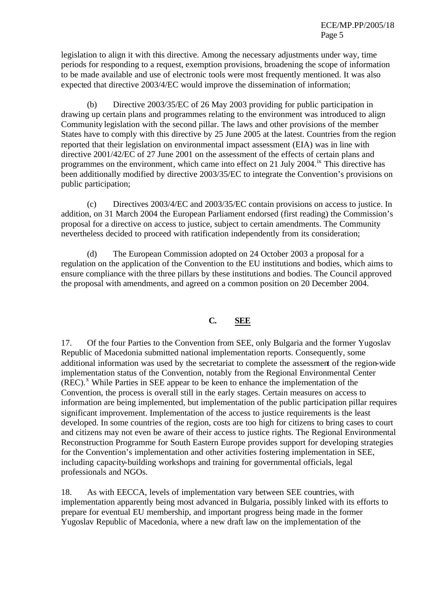legislation to align it with this directive. Among the necessary adjustments under way, time periods for responding to a request, exemption provisions, broadening the scope of information to be made available and use of electronic tools were most frequently mentioned. It was also expected that directive 2003/4/EC would improve the dissemination of information;

(b) Directive 2003/35/EC of 26 May 2003 providing for public participation in drawing up certain plans and programmes relating to the environment was introduced to align Community legislation with the second pillar. The laws and other provisions of the member States have to comply with this directive by 25 June 2005 at the latest. Countries from the region reported that their legislation on environmental impact assessment (EIA) was in line with directive 2001/42/EC of 27 June 2001 on the assessment of the effects of certain plans and programmes on the environment, which came into effect on 21 July 2004.<sup>ix</sup> This directive has been additionally modified by directive 2003/35/EC to integrate the Convention's provisions on public participation;

(c) Directives 2003/4/EC and 2003/35/EC contain provisions on access to justice. In addition, on 31 March 2004 the European Parliament endorsed (first reading) the Commission's proposal for a directive on access to justice, subject to certain amendments. The Community nevertheless decided to proceed with ratification independently from its consideration;

(d) The European Commission adopted on 24 October 2003 a proposal for a regulation on the application of the Convention to the EU institutions and bodies, which aims to ensure compliance with the three pillars by these institutions and bodies. The Council approved the proposal with amendments, and agreed on a common position on 20 December 2004.

## **C. SEE**

17. Of the four Parties to the Convention from SEE, only Bulgaria and the former Yugoslav Republic of Macedonia submitted national implementation reports. Consequently, some additional information was used by the secretariat to complete the assessment of the region-wide implementation status of the Convention, notably from the Regional Environmental Center (REC).<sup>x</sup> While Parties in SEE appear to be keen to enhance the implementation of the Convention, the process is overall still in the early stages. Certain measures on access to information are being implemented, but implementation of the public participation pillar requires significant improvement. Implementation of the access to justice requirements is the least developed. In some countries of the region, costs are too high for citizens to bring cases to court and citizens may not even be aware of their access to justice rights. The Regional Environmental Reconstruction Programme for South Eastern Europe provides support for developing strategies for the Convention's implementation and other activities fostering implementation in SEE, including capacity-building workshops and training for governmental officials, legal professionals and NGOs.

18. As with EECCA, levels of implementation vary between SEE countries, with implementation apparently being most advanced in Bulgaria, possibly linked with its efforts to prepare for eventual EU membership, and important progress being made in the former Yugoslav Republic of Macedonia, where a new draft law on the implementation of the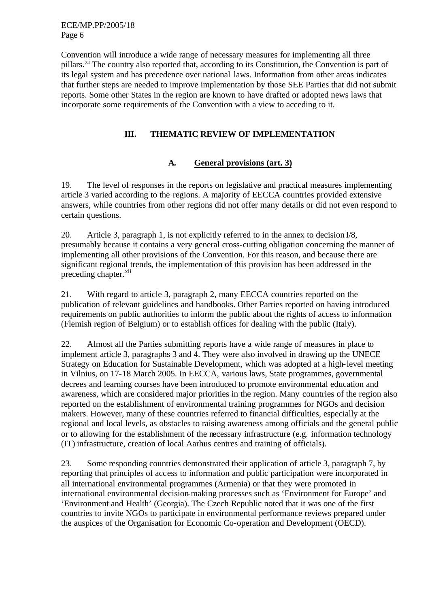ECE/MP.PP/2005/18 Page 6

Convention will introduce a wide range of necessary measures for implementing all three pillars.<sup>xi</sup> The country also reported that, according to its Constitution, the Convention is part of its legal system and has precedence over national laws. Information from other areas indicates that further steps are needed to improve implementation by those SEE Parties that did not submit reports. Some other States in the region are known to have drafted or adopted news laws that incorporate some requirements of the Convention with a view to acceding to it.

## **III. THEMATIC REVIEW OF IMPLEMENTATION**

#### **A. General provisions (art. 3)**

19. The level of responses in the reports on legislative and practical measures implementing article 3 varied according to the regions. A majority of EECCA countries provided extensive answers, while countries from other regions did not offer many details or did not even respond to certain questions.

20. Article 3, paragraph 1, is not explicitly referred to in the annex to decision I/8, presumably because it contains a very general cross-cutting obligation concerning the manner of implementing all other provisions of the Convention. For this reason, and because there are significant regional trends, the implementation of this provision has been addressed in the preceding chapter.<sup>xii</sup>

21. With regard to article 3, paragraph 2, many EECCA countries reported on the publication of relevant guidelines and handbooks. Other Parties reported on having introduced requirements on public authorities to inform the public about the rights of access to information (Flemish region of Belgium) or to establish offices for dealing with the public (Italy).

22. Almost all the Parties submitting reports have a wide range of measures in place to implement article 3, paragraphs 3 and 4. They were also involved in drawing up the UNECE Strategy on Education for Sustainable Development, which was adopted at a high-level meeting in Vilnius, on 17-18 March 2005. In EECCA, various laws, State programmes, governmental decrees and learning courses have been introduced to promote environmental education and awareness, which are considered major priorities in the region. Many countries of the region also reported on the establishment of environmental training programmes for NGOs and decision makers. However, many of these countries referred to financial difficulties, especially at the regional and local levels, as obstacles to raising awareness among officials and the general public or to allowing for the establishment of the necessary infrastructure (e.g. information technology (IT) infrastructure, creation of local Aarhus centres and training of officials).

23. Some responding countries demonstrated their application of article 3, paragraph 7, by reporting that principles of access to information and public participation were incorporated in all international environmental programmes (Armenia) or that they were promoted in international environmental decision-making processes such as 'Environment for Europe' and 'Environment and Health' (Georgia). The Czech Republic noted that it was one of the first countries to invite NGOs to participate in environmental performance reviews prepared under the auspices of the Organisation for Economic Co-operation and Development (OECD).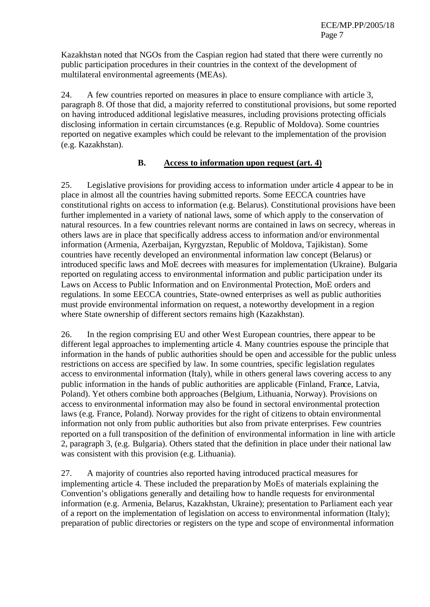Kazakhstan noted that NGOs from the Caspian region had stated that there were currently no public participation procedures in their countries in the context of the development of multilateral environmental agreements (MEAs).

24. A few countries reported on measures in place to ensure compliance with article 3, paragraph 8. Of those that did, a majority referred to constitutional provisions, but some reported on having introduced additional legislative measures, including provisions protecting officials disclosing information in certain circumstances (e.g. Republic of Moldova). Some countries reported on negative examples which could be relevant to the implementation of the provision (e.g. Kazakhstan).

#### **B. Access to information upon request (art. 4)**

25. Legislative provisions for providing access to information under article 4 appear to be in place in almost all the countries having submitted reports. Some EECCA countries have constitutional rights on access to information (e.g. Belarus). Constitutional provisions have been further implemented in a variety of national laws, some of which apply to the conservation of natural resources. In a few countries relevant norms are contained in laws on secrecy, whereas in others laws are in place that specifically address access to information and/or environmental information (Armenia, Azerbaijan, Kyrgyzstan, Republic of Moldova, Tajikistan). Some countries have recently developed an environmental information law concept (Belarus) or introduced specific laws and MoE decrees with measures for implementation (Ukraine). Bulgaria reported on regulating access to environmental information and public participation under its Laws on Access to Public Information and on Environmental Protection, MoE orders and regulations. In some EECCA countries, State-owned enterprises as well as public authorities must provide environmental information on request, a noteworthy development in a region where State ownership of different sectors remains high (Kazakhstan).

26. In the region comprising EU and other West European countries, there appear to be different legal approaches to implementing article 4. Many countries espouse the principle that information in the hands of public authorities should be open and accessible for the public unless restrictions on access are specified by law. In some countries, specific legislation regulates access to environmental information (Italy), while in others general laws covering access to any public information in the hands of public authorities are applicable (Finland, France, Latvia, Poland). Yet others combine both approaches (Belgium, Lithuania, Norway). Provisions on access to environmental information may also be found in sectoral environmental protection laws (e.g. France, Poland). Norway provides for the right of citizens to obtain environmental information not only from public authorities but also from private enterprises. Few countries reported on a full transposition of the definition of environmental information in line with article 2, paragraph 3, (e.g. Bulgaria). Others stated that the definition in place under their national law was consistent with this provision (e.g. Lithuania).

27. A majority of countries also reported having introduced practical measures for implementing article 4. These included the preparation by MoEs of materials explaining the Convention's obligations generally and detailing how to handle requests for environmental information (e.g. Armenia, Belarus, Kazakhstan, Ukraine); presentation to Parliament each year of a report on the implementation of legislation on access to environmental information (Italy); preparation of public directories or registers on the type and scope of environmental information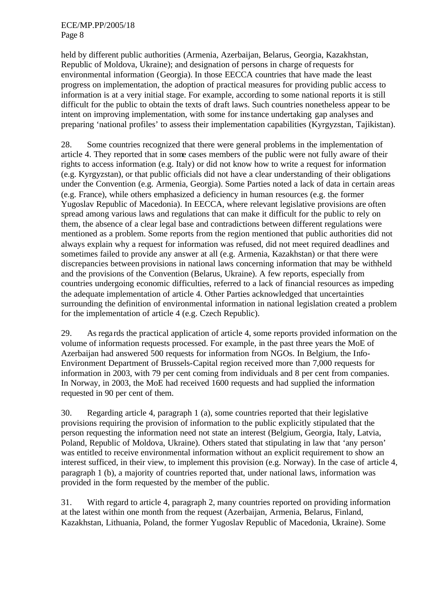held by different public authorities (Armenia, Azerbaijan, Belarus, Georgia, Kazakhstan, Republic of Moldova, Ukraine); and designation of persons in charge of requests for environmental information (Georgia). In those EECCA countries that have made the least progress on implementation, the adoption of practical measures for providing public access to information is at a very initial stage. For example, according to some national reports it is still difficult for the public to obtain the texts of draft laws. Such countries nonetheless appear to be intent on improving implementation, with some for instance undertaking gap analyses and preparing 'national profiles' to assess their implementation capabilities (Kyrgyzstan, Tajikistan).

28. Some countries recognized that there were general problems in the implementation of article 4. They reported that in some cases members of the public were not fully aware of their rights to access information (e.g. Italy) or did not know how to write a request for information (e.g. Kyrgyzstan), or that public officials did not have a clear understanding of their obligations under the Convention (e.g. Armenia, Georgia). Some Parties noted a lack of data in certain areas (e.g. France), while others emphasized a deficiency in human resources (e.g. the former Yugoslav Republic of Macedonia). In EECCA, where relevant legislative provisions are often spread among various laws and regulations that can make it difficult for the public to rely on them, the absence of a clear legal base and contradictions between different regulations were mentioned as a problem. Some reports from the region mentioned that public authorities did not always explain why a request for information was refused, did not meet required deadlines and sometimes failed to provide any answer at all (e.g. Armenia, Kazakhstan) or that there were discrepancies between provisions in national laws concerning information that may be withheld and the provisions of the Convention (Belarus, Ukraine). A few reports, especially from countries undergoing economic difficulties, referred to a lack of financial resources as impeding the adequate implementation of article 4. Other Parties acknowledged that uncertainties surrounding the definition of environmental information in national legislation created a problem for the implementation of article 4 (e.g. Czech Republic).

29. As regards the practical application of article 4, some reports provided information on the volume of information requests processed. For example, in the past three years the MoE of Azerbaijan had answered 500 requests for information from NGOs. In Belgium, the Info-Environment Department of Brussels-Capital region received more than 7,000 requests for information in 2003, with 79 per cent coming from individuals and 8 per cent from companies. In Norway, in 2003, the MoE had received 1600 requests and had supplied the information requested in 90 per cent of them.

30. Regarding article 4, paragraph 1 (a), some countries reported that their legislative provisions requiring the provision of information to the public explicitly stipulated that the person requesting the information need not state an interest (Belgium, Georgia, Italy, Latvia, Poland, Republic of Moldova, Ukraine). Others stated that stipulating in law that 'any person' was entitled to receive environmental information without an explicit requirement to show an interest sufficed, in their view, to implement this provision (e.g. Norway). In the case of article 4, paragraph 1 (b), a majority of countries reported that, under national laws, information was provided in the form requested by the member of the public.

31. With regard to article 4, paragraph 2, many countries reported on providing information at the latest within one month from the request (Azerbaijan, Armenia, Belarus, Finland, Kazakhstan, Lithuania, Poland, the former Yugoslav Republic of Macedonia, Ukraine). Some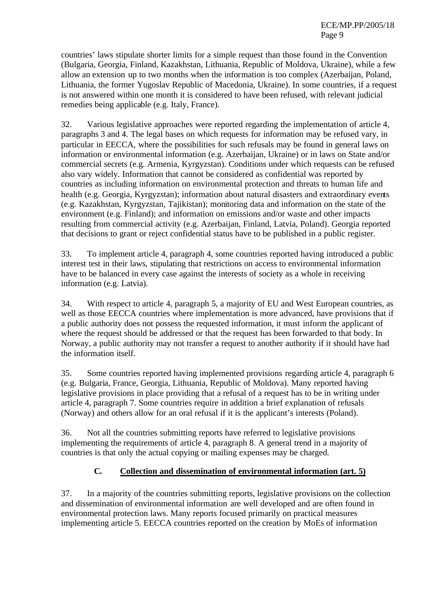countries' laws stipulate shorter limits for a simple request than those found in the Convention (Bulgaria, Georgia, Finland, Kazakhstan, Lithuania, Republic of Moldova, Ukraine), while a few allow an extension up to two months when the information is too complex (Azerbaijan, Poland, Lithuania, the former Yugoslav Republic of Macedonia, Ukraine). In some countries, if a request is not answered within one month it is considered to have been refused, with relevant judicial remedies being applicable (e.g. Italy, France).

32. Various legislative approaches were reported regarding the implementation of article 4, paragraphs 3 and 4. The legal bases on which requests for information may be refused vary, in particular in EECCA, where the possibilities for such refusals may be found in general laws on information or environmental information (e.g. Azerbaijan, Ukraine) or in laws on State and/or commercial secrets (e.g. Armenia, Kyrgyzstan). Conditions under which requests can be refused also vary widely. Information that cannot be considered as confidential was reported by countries as including information on environmental protection and threats to human life and health (e.g. Georgia, Kyrgyzstan); information about natural disasters and extraordinary events (e.g. Kazakhstan, Kyrgyzstan, Tajikistan); monitoring data and information on the state of the environment (e.g. Finland); and information on emissions and/or waste and other impacts resulting from commercial activity (e.g. Azerbaijan, Finland, Latvia, Poland). Georgia reported that decisions to grant or reject confidential status have to be published in a public register.

33. To implement article 4, paragraph 4, some countries reported having introduced a public interest test in their laws, stipulating that restrictions on access to environmental information have to be balanced in every case against the interests of society as a whole in receiving information (e.g. Latvia).

34. With respect to article 4, paragraph 5, a majority of EU and West European countries, as well as those EECCA countries where implementation is more advanced, have provisions that if a public authority does not possess the requested information, it must inform the applicant of where the request should be addressed or that the request has been forwarded to that body. In Norway, a public authority may not transfer a request to another authority if it should have had the information itself.

35. Some countries reported having implemented provisions regarding article 4, paragraph 6 (e.g. Bulgaria, France, Georgia, Lithuania, Republic of Moldova). Many reported having legislative provisions in place providing that a refusal of a request has to be in writing under article 4, paragraph 7. Some countries require in addition a brief explanation of refusals (Norway) and others allow for an oral refusal if it is the applicant's interests (Poland).

36. Not all the countries submitting reports have referred to legislative provisions implementing the requirements of article 4, paragraph 8. A general trend in a majority of countries is that only the actual copying or mailing expenses may be charged.

# **C. Collection and dissemination of environmental information (art. 5)**

37. In a majority of the countries submitting reports, legislative provisions on the collection and dissemination of environmental information are well developed and are often found in environmental protection laws. Many reports focused primarily on practical measures implementing article 5. EECCA countries reported on the creation by MoEs of information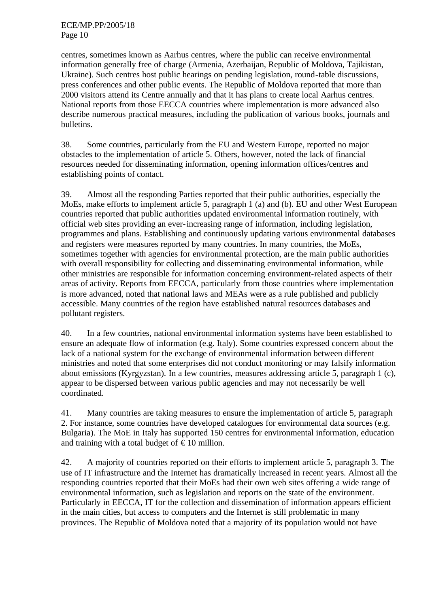centres, sometimes known as Aarhus centres, where the public can receive environmental information generally free of charge (Armenia, Azerbaijan, Republic of Moldova, Tajikistan, Ukraine). Such centres host public hearings on pending legislation, round-table discussions, press conferences and other public events. The Republic of Moldova reported that more than 2000 visitors attend its Centre annually and that it has plans to create local Aarhus centres. National reports from those EECCA countries where implementation is more advanced also describe numerous practical measures, including the publication of various books, journals and bulletins.

38. Some countries, particularly from the EU and Western Europe, reported no major obstacles to the implementation of article 5. Others, however, noted the lack of financial resources needed for disseminating information, opening information offices/centres and establishing points of contact.

39. Almost all the responding Parties reported that their public authorities, especially the MoEs, make efforts to implement article 5, paragraph 1 (a) and (b). EU and other West European countries reported that public authorities updated environmental information routinely, with official web sites providing an ever-increasing range of information, including legislation, programmes and plans. Establishing and continuously updating various environmental databases and registers were measures reported by many countries. In many countries, the MoEs, sometimes together with agencies for environmental protection, are the main public authorities with overall responsibility for collecting and disseminating environmental information, while other ministries are responsible for information concerning environment-related aspects of their areas of activity. Reports from EECCA, particularly from those countries where implementation is more advanced, noted that national laws and MEAs were as a rule published and publicly accessible. Many countries of the region have established natural resources databases and pollutant registers.

40. In a few countries, national environmental information systems have been established to ensure an adequate flow of information (e.g. Italy). Some countries expressed concern about the lack of a national system for the exchange of environmental information between different ministries and noted that some enterprises did not conduct monitoring or may falsify information about emissions (Kyrgyzstan). In a few countries, measures addressing article 5, paragraph 1 (c), appear to be dispersed between various public agencies and may not necessarily be well coordinated.

41. Many countries are taking measures to ensure the implementation of article 5, paragraph 2. For instance, some countries have developed catalogues for environmental data sources (e.g. Bulgaria). The MoE in Italy has supported 150 centres for environmental information, education and training with a total budget of  $\epsilon$  10 million.

42. A majority of countries reported on their efforts to implement article 5, paragraph 3. The use of IT infrastructure and the Internet has dramatically increased in recent years. Almost all the responding countries reported that their MoEs had their own web sites offering a wide range of environmental information, such as legislation and reports on the state of the environment. Particularly in EECCA, IT for the collection and dissemination of information appears efficient in the main cities, but access to computers and the Internet is still problematic in many provinces. The Republic of Moldova noted that a majority of its population would not have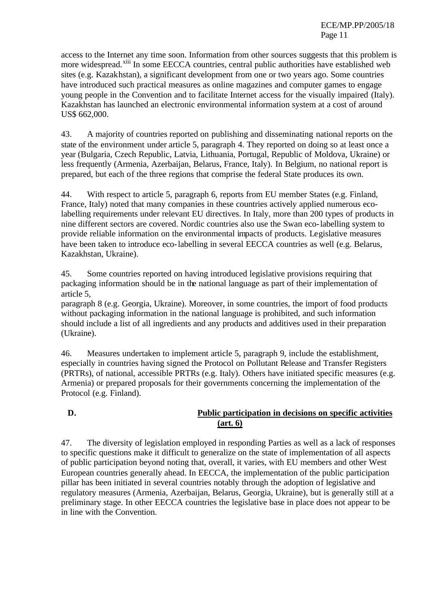access to the Internet any time soon. Information from other sources suggests that this problem is more widespread.<sup>xiii</sup> In some EECCA countries, central public authorities have established web sites (e.g. Kazakhstan), a significant development from one or two years ago. Some countries have introduced such practical measures as online magazines and computer games to engage young people in the Convention and to facilitate Internet access for the visually impaired (Italy). Kazakhstan has launched an electronic environmental information system at a cost of around US\$ 662,000.

43. A majority of countries reported on publishing and disseminating national reports on the state of the environment under article 5, paragraph 4. They reported on doing so at least once a year (Bulgaria, Czech Republic, Latvia, Lithuania, Portugal, Republic of Moldova, Ukraine) or less frequently (Armenia, Azerbaijan, Belarus, France, Italy). In Belgium, no national report is prepared, but each of the three regions that comprise the federal State produces its own.

44. With respect to article 5, paragraph 6, reports from EU member States (e.g. Finland, France, Italy) noted that many companies in these countries actively applied numerous ecolabelling requirements under relevant EU directives. In Italy, more than 200 types of products in nine different sectors are covered. Nordic countries also use the Swan eco-labelling system to provide reliable information on the environmental impacts of products. Legislative measures have been taken to introduce eco-labelling in several EECCA countries as well (e.g. Belarus, Kazakhstan, Ukraine).

45. Some countries reported on having introduced legislative provisions requiring that packaging information should be in the national language as part of their implementation of article 5,

paragraph 8 (e.g. Georgia, Ukraine). Moreover, in some countries, the import of food products without packaging information in the national language is prohibited, and such information should include a list of all ingredients and any products and additives used in their preparation (Ukraine).

46. Measures undertaken to implement article 5, paragraph 9, include the establishment, especially in countries having signed the Protocol on Pollutant Release and Transfer Registers (PRTRs), of national, accessible PRTRs (e.g. Italy). Others have initiated specific measures (e.g. Armenia) or prepared proposals for their governments concerning the implementation of the Protocol (e.g. Finland).

# **D. Public participation in decisions on specific activities (art. 6)**

47. The diversity of legislation employed in responding Parties as well as a lack of responses to specific questions make it difficult to generalize on the state of implementation of all aspects of public participation beyond noting that, overall, it varies, with EU members and other West European countries generally ahead. In EECCA, the implementation of the public participation pillar has been initiated in several countries notably through the adoption of legislative and regulatory measures (Armenia, Azerbaijan, Belarus, Georgia, Ukraine), but is generally still at a preliminary stage. In other EECCA countries the legislative base in place does not appear to be in line with the Convention.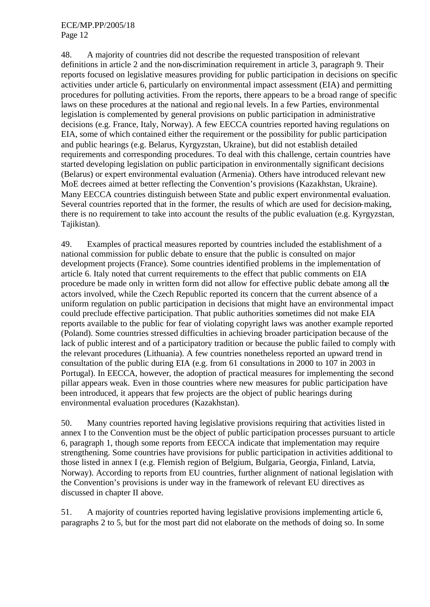#### ECE/MP.PP/2005/18 Page 12

48. A majority of countries did not describe the requested transposition of relevant definitions in article 2 and the non-discrimination requirement in article 3, paragraph 9. Their reports focused on legislative measures providing for public participation in decisions on specific activities under article 6, particularly on environmental impact assessment (EIA) and permitting procedures for polluting activities. From the reports, there appears to be a broad range of specific laws on these procedures at the national and regional levels. In a few Parties, environmental legislation is complemented by general provisions on public participation in administrative decisions (e.g. France, Italy, Norway). A few EECCA countries reported having regulations on EIA, some of which contained either the requirement or the possibility for public participation and public hearings (e.g. Belarus, Kyrgyzstan, Ukraine), but did not establish detailed requirements and corresponding procedures. To deal with this challenge, certain countries have started developing legislation on public participation in environmentally significant decisions (Belarus) or expert environmental evaluation (Armenia). Others have introduced relevant new MoE decrees aimed at better reflecting the Convention's provisions (Kazakhstan, Ukraine). Many EECCA countries distinguish between State and public expert environmental evaluation. Several countries reported that in the former, the results of which are used for decision-making, there is no requirement to take into account the results of the public evaluation (e.g. Kyrgyzstan, Tajikistan).

49. Examples of practical measures reported by countries included the establishment of a national commission for public debate to ensure that the public is consulted on major development projects (France). Some countries identified problems in the implementation of article 6. Italy noted that current requirements to the effect that public comments on EIA procedure be made only in written form did not allow for effective public debate among all the actors involved, while the Czech Republic reported its concern that the current absence of a uniform regulation on public participation in decisions that might have an environmental impact could preclude effective participation. That public authorities sometimes did not make EIA reports available to the public for fear of violating copyright laws was another example reported (Poland). Some countries stressed difficulties in achieving broader participation because of the lack of public interest and of a participatory tradition or because the public failed to comply with the relevant procedures (Lithuania). A few countries nonetheless reported an upward trend in consultation of the public during EIA (e.g. from 61 consultations in 2000 to 107 in 2003 in Portugal). In EECCA, however, the adoption of practical measures for implementing the second pillar appears weak. Even in those countries where new measures for public participation have been introduced, it appears that few projects are the object of public hearings during environmental evaluation procedures (Kazakhstan).

50. Many countries reported having legislative provisions requiring that activities listed in annex I to the Convention must be the object of public participation processes pursuant to article 6, paragraph 1, though some reports from EECCA indicate that implementation may require strengthening. Some countries have provisions for public participation in activities additional to those listed in annex I (e.g. Flemish region of Belgium, Bulgaria, Georgia, Finland, Latvia, Norway). According to reports from EU countries, further alignment of national legislation with the Convention's provisions is under way in the framework of relevant EU directives as discussed in chapter II above.

51. A majority of countries reported having legislative provisions implementing article 6, paragraphs 2 to 5, but for the most part did not elaborate on the methods of doing so. In some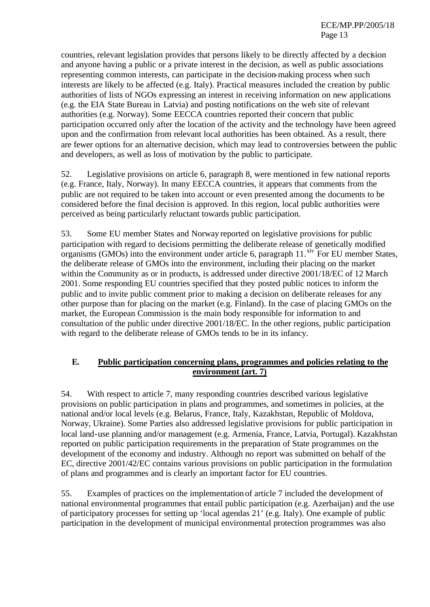countries, relevant legislation provides that persons likely to be directly affected by a decision and anyone having a public or a private interest in the decision, as well as public associations representing common interests, can participate in the decision-making process when such interests are likely to be affected (e.g. Italy). Practical measures included the creation by public authorities of lists of NGOs expressing an interest in receiving information on new applications (e.g. the EIA State Bureau in Latvia) and posting notifications on the web site of relevant authorities (e.g. Norway). Some EECCA countries reported their concern that public participation occurred only after the location of the activity and the technology have been agreed upon and the confirmation from relevant local authorities has been obtained. As a result, there are fewer options for an alternative decision, which may lead to controversies between the public and developers, as well as loss of motivation by the public to participate.

52. Legislative provisions on article 6, paragraph 8, were mentioned in few national reports (e.g. France, Italy, Norway). In many EECCA countries, it appears that comments from the public are not required to be taken into account or even presented among the documents to be considered before the final decision is approved. In this region, local public authorities were perceived as being particularly reluctant towards public participation.

53. Some EU member States and Norway reported on legislative provisions for public participation with regard to decisions permitting the deliberate release of genetically modified organisms (GMOs) into the environment under article 6, paragraph  $11.^{\text{xiv}}$  For EU member States, the deliberate release of GMOs into the environment, including their placing on the market within the Community as or in products, is addressed under directive 2001/18/EC of 12 March 2001. Some responding EU countries specified that they posted public notices to inform the public and to invite public comment prior to making a decision on deliberate releases for any other purpose than for placing on the market (e.g. Finland). In the case of placing GMOs on the market, the European Commission is the main body responsible for information to and consultation of the public under directive 2001/18/EC. In the other regions, public participation with regard to the deliberate release of GMOs tends to be in its infancy.

#### **E. Public participation concerning plans, programmes and policies relating to the environment (art. 7)**

54. With respect to article 7, many responding countries described various legislative provisions on public participation in plans and programmes, and sometimes in policies, at the national and/or local levels (e.g. Belarus, France, Italy, Kazakhstan, Republic of Moldova, Norway, Ukraine). Some Parties also addressed legislative provisions for public participation in local land-use planning and/or management (e.g. Armenia, France, Latvia, Portugal). Kazakhstan reported on public participation requirements in the preparation of State programmes on the development of the economy and industry. Although no report was submitted on behalf of the EC, directive 2001/42/EC contains various provisions on public participation in the formulation of plans and programmes and is clearly an important factor for EU countries.

55. Examples of practices on the implementation of article 7 included the development of national environmental programmes that entail public participation (e.g. Azerbaijan) and the use of participatory processes for setting up 'local agendas 21' (e.g. Italy). One example of public participation in the development of municipal environmental protection programmes was also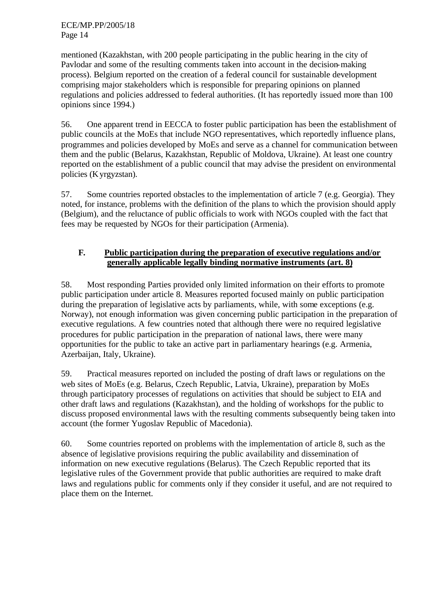mentioned (Kazakhstan, with 200 people participating in the public hearing in the city of Pavlodar and some of the resulting comments taken into account in the decision-making process). Belgium reported on the creation of a federal council for sustainable development comprising major stakeholders which is responsible for preparing opinions on planned regulations and policies addressed to federal authorities. (It has reportedly issued more than 100 opinions since 1994.)

56. One apparent trend in EECCA to foster public participation has been the establishment of public councils at the MoEs that include NGO representatives, which reportedly influence plans, programmes and policies developed by MoEs and serve as a channel for communication between them and the public (Belarus, Kazakhstan, Republic of Moldova, Ukraine). At least one country reported on the establishment of a public council that may advise the president on environmental policies (Kyrgyzstan).

57. Some countries reported obstacles to the implementation of article 7 (e.g. Georgia). They noted, for instance, problems with the definition of the plans to which the provision should apply (Belgium), and the reluctance of public officials to work with NGOs coupled with the fact that fees may be requested by NGOs for their participation (Armenia).

## **F. Public participation during the preparation of executive regulations and/or generally applicable legally binding normative instruments (art. 8)**

58. Most responding Parties provided only limited information on their efforts to promote public participation under article 8. Measures reported focused mainly on public participation during the preparation of legislative acts by parliaments, while, with some exceptions (e.g. Norway), not enough information was given concerning public participation in the preparation of executive regulations. A few countries noted that although there were no required legislative procedures for public participation in the preparation of national laws, there were many opportunities for the public to take an active part in parliamentary hearings (e.g. Armenia, Azerbaijan, Italy, Ukraine).

59. Practical measures reported on included the posting of draft laws or regulations on the web sites of MoEs (e.g. Belarus, Czech Republic, Latvia, Ukraine), preparation by MoEs through participatory processes of regulations on activities that should be subject to EIA and other draft laws and regulations (Kazakhstan), and the holding of workshops for the public to discuss proposed environmental laws with the resulting comments subsequently being taken into account (the former Yugoslav Republic of Macedonia).

60. Some countries reported on problems with the implementation of article 8, such as the absence of legislative provisions requiring the public availability and dissemination of information on new executive regulations (Belarus). The Czech Republic reported that its legislative rules of the Government provide that public authorities are required to make draft laws and regulations public for comments only if they consider it useful, and are not required to place them on the Internet.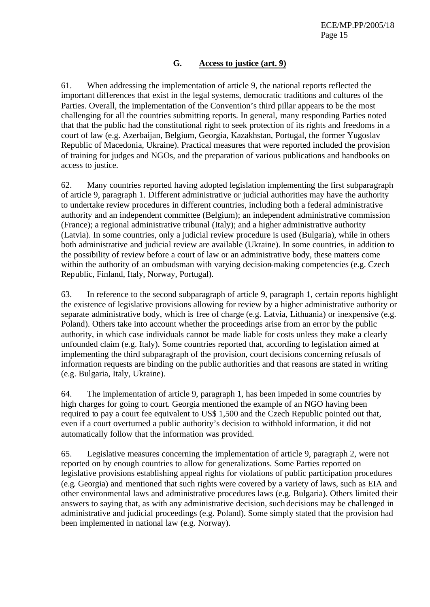#### **G. Access to justice (art. 9)**

61. When addressing the implementation of article 9, the national reports reflected the important differences that exist in the legal systems, democratic traditions and cultures of the Parties. Overall, the implementation of the Convention's third pillar appears to be the most challenging for all the countries submitting reports. In general, many responding Parties noted that that the public had the constitutional right to seek protection of its rights and freedoms in a court of law (e.g. Azerbaijan, Belgium, Georgia, Kazakhstan, Portugal, the former Yugoslav Republic of Macedonia, Ukraine). Practical measures that were reported included the provision of training for judges and NGOs, and the preparation of various publications and handbooks on access to justice.

62. Many countries reported having adopted legislation implementing the first subparagraph of article 9, paragraph 1. Different administrative or judicial authorities may have the authority to undertake review procedures in different countries, including both a federal administrative authority and an independent committee (Belgium); an independent administrative commission (France); a regional administrative tribunal (Italy); and a higher administrative authority (Latvia). In some countries, only a judicial review procedure is used (Bulgaria), while in others both administrative and judicial review are available (Ukraine). In some countries, in addition to the possibility of review before a court of law or an administrative body, these matters come within the authority of an ombudsman with varying decision-making competencies (e.g. Czech Republic, Finland, Italy, Norway, Portugal).

63. In reference to the second subparagraph of article 9, paragraph 1, certain reports highlight the existence of legislative provisions allowing for review by a higher administrative authority or separate administrative body, which is free of charge (e.g. Latvia, Lithuania) or inexpensive (e.g. Poland). Others take into account whether the proceedings arise from an error by the public authority, in which case individuals cannot be made liable for costs unless they make a clearly unfounded claim (e.g. Italy). Some countries reported that, according to legislation aimed at implementing the third subparagraph of the provision, court decisions concerning refusals of information requests are binding on the public authorities and that reasons are stated in writing (e.g. Bulgaria, Italy, Ukraine).

64. The implementation of article 9, paragraph 1, has been impeded in some countries by high charges for going to court. Georgia mentioned the example of an NGO having been required to pay a court fee equivalent to US\$ 1,500 and the Czech Republic pointed out that, even if a court overturned a public authority's decision to withhold information, it did not automatically follow that the information was provided.

65. Legislative measures concerning the implementation of article 9, paragraph 2, were not reported on by enough countries to allow for generalizations. Some Parties reported on legislative provisions establishing appeal rights for violations of public participation procedures (e.g. Georgia) and mentioned that such rights were covered by a variety of laws, such as EIA and other environmental laws and administrative procedures laws (e.g. Bulgaria). Others limited their answers to saying that, as with any administrative decision, such decisions may be challenged in administrative and judicial proceedings (e.g. Poland). Some simply stated that the provision had been implemented in national law (e.g. Norway).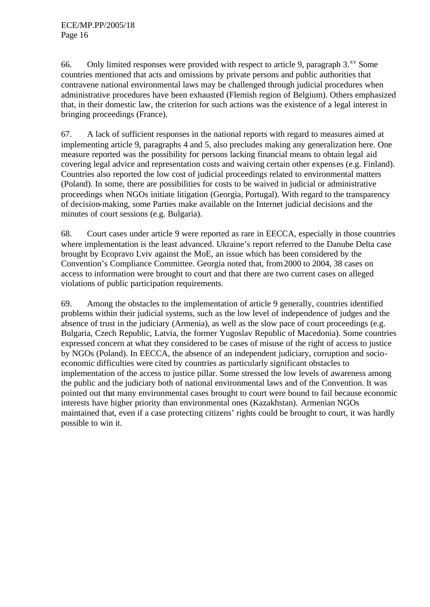66. Only limited responses were provided with respect to article 9, paragraph  $3.^{x}$  Some countries mentioned that acts and omissions by private persons and public authorities that contravene national environmental laws may be challenged through judicial procedures when administrative procedures have been exhausted (Flemish region of Belgium). Others emphasized that, in their domestic law, the criterion for such actions was the existence of a legal interest in bringing proceedings (France).

67. A lack of sufficient responses in the national reports with regard to measures aimed at implementing article 9, paragraphs 4 and 5, also precludes making any generalization here. One measure reported was the possibility for persons lacking financial means to obtain legal aid covering legal advice and representation costs and waiving certain other expenses (e.g. Finland). Countries also reported the low cost of judicial proceedings related to environmental matters (Poland). In some, there are possibilities for costs to be waived in judicial or administrative proceedings when NGOs initiate litigation (Georgia, Portugal). With regard to the transparency of decision-making, some Parties make available on the Internet judicial decisions and the minutes of court sessions (e.g. Bulgaria).

68. Court cases under article 9 were reported as rare in EECCA, especially in those countries where implementation is the least advanced. Ukraine's report referred to the Danube Delta case brought by Ecopravo Lviv against the MoE, an issue which has been considered by the Convention's Compliance Committee. Georgia noted that, from 2000 to 2004, 38 cases on access to information were brought to court and that there are two current cases on alleged violations of public participation requirements.

69. Among the obstacles to the implementation of article 9 generally, countries identified problems within their judicial systems, such as the low level of independence of judges and the absence of trust in the judiciary (Armenia), as well as the slow pace of court proceedings (e.g. Bulgaria, Czech Republic, Latvia, the former Yugoslav Republic of Macedonia). Some countries expressed concern at what they considered to be cases of misuse of the right of access to justice by NGOs (Poland). In EECCA, the absence of an independent judiciary, corruption and socioeconomic difficulties were cited by countries as particularly significant obstacles to implementation of the access to justice pillar. Some stressed the low levels of awareness among the public and the judiciary both of national environmental laws and of the Convention. It was pointed out that many environmental cases brought to court were bound to fail because economic interests have higher priority than environmental ones (Kazakhstan). Armenian NGOs maintained that, even if a case protecting citizens' rights could be brought to court, it was hardly possible to win it.